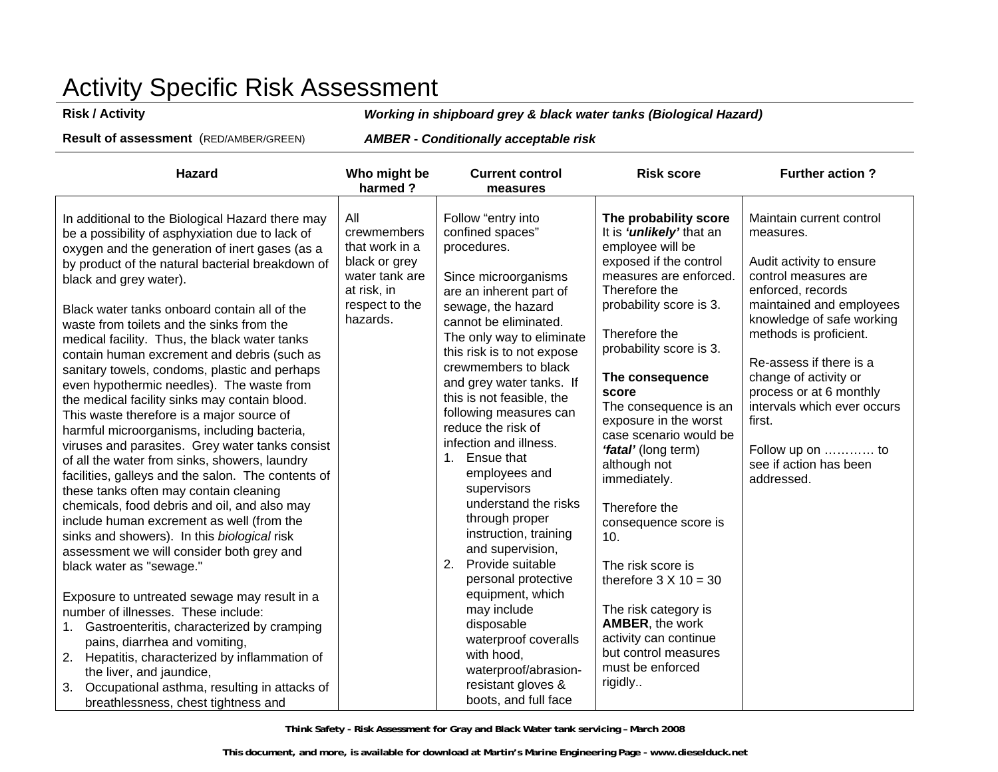# Activity Specific Risk Assessment

**Risk / Activity** *Working in shipboard grey & black water tanks (Biological Hazard)* 

**Result of assessment** (RED/AMBER/GREEN) *AMBER* **-** *Conditionally acceptable risk* 

| <b>Hazard</b>                                                                                                                                                                                                                                                                                                                                                                                                                                                                                                                                                                                                                                                                                                                                                                                                                                                                                                                                                                                                                                                                                                                                                                                                                                                                                                                                                                                                                                               | Who might be<br>harmed?                                                                                              | <b>Current control</b><br>measures                                                                                                                                                                                                                                                                                                                                                                                                                                                                                                                                                                                                                                                                                               | <b>Risk score</b>                                                                                                                                                                                                                                                                                                                                                                                                                                                                                                                                                                                                        | <b>Further action?</b>                                                                                                                                                                                                                                                                                                                                                                |
|-------------------------------------------------------------------------------------------------------------------------------------------------------------------------------------------------------------------------------------------------------------------------------------------------------------------------------------------------------------------------------------------------------------------------------------------------------------------------------------------------------------------------------------------------------------------------------------------------------------------------------------------------------------------------------------------------------------------------------------------------------------------------------------------------------------------------------------------------------------------------------------------------------------------------------------------------------------------------------------------------------------------------------------------------------------------------------------------------------------------------------------------------------------------------------------------------------------------------------------------------------------------------------------------------------------------------------------------------------------------------------------------------------------------------------------------------------------|----------------------------------------------------------------------------------------------------------------------|----------------------------------------------------------------------------------------------------------------------------------------------------------------------------------------------------------------------------------------------------------------------------------------------------------------------------------------------------------------------------------------------------------------------------------------------------------------------------------------------------------------------------------------------------------------------------------------------------------------------------------------------------------------------------------------------------------------------------------|--------------------------------------------------------------------------------------------------------------------------------------------------------------------------------------------------------------------------------------------------------------------------------------------------------------------------------------------------------------------------------------------------------------------------------------------------------------------------------------------------------------------------------------------------------------------------------------------------------------------------|---------------------------------------------------------------------------------------------------------------------------------------------------------------------------------------------------------------------------------------------------------------------------------------------------------------------------------------------------------------------------------------|
| In additional to the Biological Hazard there may<br>be a possibility of asphyxiation due to lack of<br>oxygen and the generation of inert gases (as a<br>by product of the natural bacterial breakdown of<br>black and grey water).<br>Black water tanks onboard contain all of the<br>waste from toilets and the sinks from the<br>medical facility. Thus, the black water tanks<br>contain human excrement and debris (such as<br>sanitary towels, condoms, plastic and perhaps<br>even hypothermic needles). The waste from<br>the medical facility sinks may contain blood.<br>This waste therefore is a major source of<br>harmful microorganisms, including bacteria,<br>viruses and parasites. Grey water tanks consist<br>of all the water from sinks, showers, laundry<br>facilities, galleys and the salon. The contents of<br>these tanks often may contain cleaning<br>chemicals, food debris and oil, and also may<br>include human excrement as well (from the<br>sinks and showers). In this biological risk<br>assessment we will consider both grey and<br>black water as "sewage."<br>Exposure to untreated sewage may result in a<br>number of illnesses. These include:<br>Gastroenteritis, characterized by cramping<br>1.<br>pains, diarrhea and vomiting,<br>2. Hepatitis, characterized by inflammation of<br>the liver, and jaundice,<br>Occupational asthma, resulting in attacks of<br>3.<br>breathlessness, chest tightness and | All<br>crewmembers<br>that work in a<br>black or grey<br>water tank are<br>at risk, in<br>respect to the<br>hazards. | Follow "entry into<br>confined spaces"<br>procedures.<br>Since microorganisms<br>are an inherent part of<br>sewage, the hazard<br>cannot be eliminated.<br>The only way to eliminate<br>this risk is to not expose<br>crewmembers to black<br>and grey water tanks. If<br>this is not feasible, the<br>following measures can<br>reduce the risk of<br>infection and illness.<br>1. Ensue that<br>employees and<br>supervisors<br>understand the risks<br>through proper<br>instruction, training<br>and supervision,<br>2. Provide suitable<br>personal protective<br>equipment, which<br>may include<br>disposable<br>waterproof coveralls<br>with hood,<br>waterproof/abrasion-<br>resistant gloves &<br>boots, and full face | The probability score<br>It is ' <i>unlikely'</i> that an<br>employee will be<br>exposed if the control<br>measures are enforced.<br>Therefore the<br>probability score is 3.<br>Therefore the<br>probability score is 3.<br>The consequence<br>score<br>The consequence is an<br>exposure in the worst<br>case scenario would be<br>'fatal' (long term)<br>although not<br>immediately.<br>Therefore the<br>consequence score is<br>10.<br>The risk score is<br>therefore $3 \times 10 = 30$<br>The risk category is<br>AMBER, the work<br>activity can continue<br>but control measures<br>must be enforced<br>rigidly | Maintain current control<br>measures.<br>Audit activity to ensure<br>control measures are<br>enforced, records<br>maintained and employees<br>knowledge of safe working<br>methods is proficient.<br>Re-assess if there is a<br>change of activity or<br>process or at 6 monthly<br>intervals which ever occurs<br>first.<br>Follow up on  to<br>see if action has been<br>addressed. |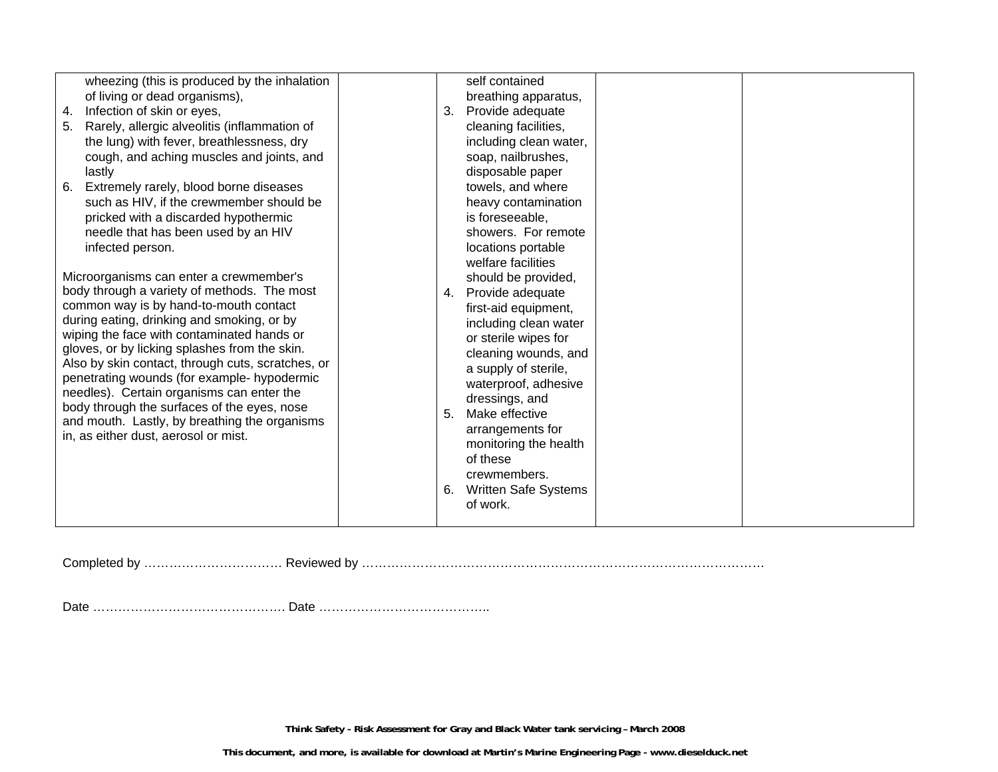| wheezing (this is produced by the inhalation<br>of living or dead organisms),<br>Infection of skin or eyes,<br>4.<br>Rarely, allergic alveolitis (inflammation of<br>5.<br>the lung) with fever, breathlessness, dry<br>cough, and aching muscles and joints, and<br>lastly<br>Extremely rarely, blood borne diseases<br>6.<br>such as HIV, if the crewmember should be<br>pricked with a discarded hypothermic<br>needle that has been used by an HIV<br>infected person.<br>Microorganisms can enter a crewmember's<br>body through a variety of methods. The most<br>common way is by hand-to-mouth contact<br>during eating, drinking and smoking, or by<br>wiping the face with contaminated hands or<br>gloves, or by licking splashes from the skin.<br>Also by skin contact, through cuts, scratches, or<br>penetrating wounds (for example- hypodermic<br>needles). Certain organisms can enter the<br>body through the surfaces of the eyes, nose<br>and mouth. Lastly, by breathing the organisms<br>in, as either dust, aerosol or mist. | self contained<br>breathing apparatus,<br>Provide adequate<br>3.<br>cleaning facilities,<br>including clean water,<br>soap, nailbrushes,<br>disposable paper<br>towels, and where<br>heavy contamination<br>is foreseeable,<br>showers. For remote<br>locations portable<br>welfare facilities<br>should be provided,<br>Provide adequate<br>4.<br>first-aid equipment,<br>including clean water<br>or sterile wipes for<br>cleaning wounds, and<br>a supply of sterile,<br>waterproof, adhesive<br>dressings, and<br>Make effective<br>5.<br>arrangements for<br>monitoring the health<br>of these<br>crewmembers.<br><b>Written Safe Systems</b><br>6.<br>of work. |  |
|------------------------------------------------------------------------------------------------------------------------------------------------------------------------------------------------------------------------------------------------------------------------------------------------------------------------------------------------------------------------------------------------------------------------------------------------------------------------------------------------------------------------------------------------------------------------------------------------------------------------------------------------------------------------------------------------------------------------------------------------------------------------------------------------------------------------------------------------------------------------------------------------------------------------------------------------------------------------------------------------------------------------------------------------------|----------------------------------------------------------------------------------------------------------------------------------------------------------------------------------------------------------------------------------------------------------------------------------------------------------------------------------------------------------------------------------------------------------------------------------------------------------------------------------------------------------------------------------------------------------------------------------------------------------------------------------------------------------------------|--|
|------------------------------------------------------------------------------------------------------------------------------------------------------------------------------------------------------------------------------------------------------------------------------------------------------------------------------------------------------------------------------------------------------------------------------------------------------------------------------------------------------------------------------------------------------------------------------------------------------------------------------------------------------------------------------------------------------------------------------------------------------------------------------------------------------------------------------------------------------------------------------------------------------------------------------------------------------------------------------------------------------------------------------------------------------|----------------------------------------------------------------------------------------------------------------------------------------------------------------------------------------------------------------------------------------------------------------------------------------------------------------------------------------------------------------------------------------------------------------------------------------------------------------------------------------------------------------------------------------------------------------------------------------------------------------------------------------------------------------------|--|

Completed by …………………………… Reviewed by ……………………………………………………………………………………

Date ………………………………………. Date …………………………………..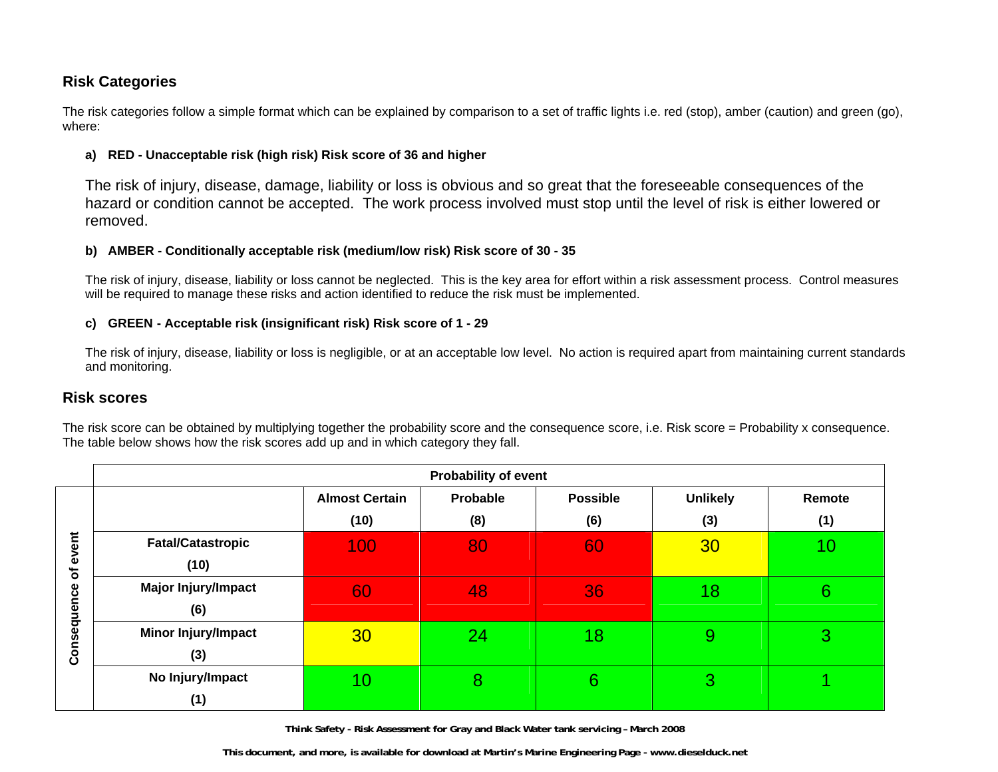## **Risk Categories**

The risk categories follow a simple format which can be explained by comparison to a set of traffic lights i.e. red (stop), amber (caution) and green (go), where:

#### **a) RED - Unacceptable risk (high risk) Risk score of 36 and higher**

The risk of injury, disease, damage, liability or loss is obvious and so great that the foreseeable consequences of the hazard or condition cannot be accepted. The work process involved must stop until the level of risk is either lowered or removed.

#### **b) AMBER - Conditionally acceptable risk (medium/low risk) Risk score of 30 - 35**

The risk of injury, disease, liability or loss cannot be neglected. This is the key area for effort within a risk assessment process. Control measures will be required to manage these risks and action identified to reduce the risk must be implemented.

#### **c) GREEN - Acceptable risk (insignificant risk) Risk score of 1 - 29**

The risk of injury, disease, liability or loss is negligible, or at an acceptable low level. No action is required apart from maintaining current standards and monitoring.

### **Risk scores**

The risk score can be obtained by multiplying together the probability score and the consequence score, i.e. Risk score = Probability x consequence. The table below shows how the risk scores add up and in which category they fall.

|             | <b>Probability of event</b> |                       |          |                 |                 |        |
|-------------|-----------------------------|-----------------------|----------|-----------------|-----------------|--------|
|             |                             | <b>Almost Certain</b> | Probable | <b>Possible</b> | <b>Unlikely</b> | Remote |
|             |                             | (10)                  | (8)      | (6)             | (3)             | (1)    |
| event       | <b>Fatal/Catastropic</b>    | 100                   | 80       | 60              | 30              | 10     |
| ৳           | (10)                        |                       |          |                 |                 |        |
|             | <b>Major Injury/Impact</b>  | 60                    | 48       | 36              | 18              | 6      |
| Consequence | (6)                         |                       |          |                 |                 |        |
|             | Minor Injury/Impact         | 30                    | 24       | 18              | $\overline{9}$  | 3      |
|             | (3)                         |                       |          |                 |                 |        |
|             | No Injury/Impact            | 10                    | 8        | 6               | 3               |        |
|             | (1)                         |                       |          |                 |                 |        |